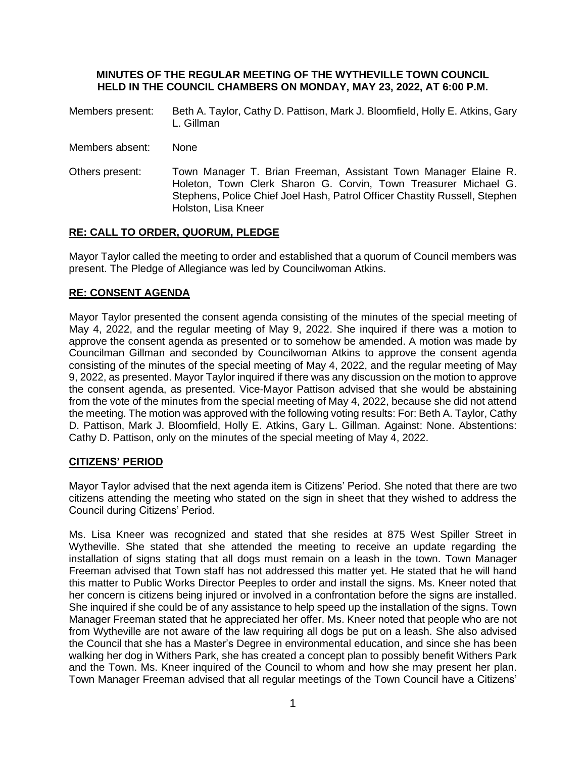#### **MINUTES OF THE REGULAR MEETING OF THE WYTHEVILLE TOWN COUNCIL HELD IN THE COUNCIL CHAMBERS ON MONDAY, MAY 23, 2022, AT 6:00 P.M.**

- Members present: Beth A. Taylor, Cathy D. Pattison, Mark J. Bloomfield, Holly E. Atkins, Gary L. Gillman
- Members absent: None
- Others present: Town Manager T. Brian Freeman, Assistant Town Manager Elaine R. Holeton, Town Clerk Sharon G. Corvin, Town Treasurer Michael G. Stephens, Police Chief Joel Hash, Patrol Officer Chastity Russell, Stephen Holston, Lisa Kneer

### **RE: CALL TO ORDER, QUORUM, PLEDGE**

Mayor Taylor called the meeting to order and established that a quorum of Council members was present. The Pledge of Allegiance was led by Councilwoman Atkins.

## **RE: CONSENT AGENDA**

Mayor Taylor presented the consent agenda consisting of the minutes of the special meeting of May 4, 2022, and the regular meeting of May 9, 2022. She inquired if there was a motion to approve the consent agenda as presented or to somehow be amended. A motion was made by Councilman Gillman and seconded by Councilwoman Atkins to approve the consent agenda consisting of the minutes of the special meeting of May 4, 2022, and the regular meeting of May 9, 2022, as presented. Mayor Taylor inquired if there was any discussion on the motion to approve the consent agenda, as presented. Vice-Mayor Pattison advised that she would be abstaining from the vote of the minutes from the special meeting of May 4, 2022, because she did not attend the meeting. The motion was approved with the following voting results: For: Beth A. Taylor, Cathy D. Pattison, Mark J. Bloomfield, Holly E. Atkins, Gary L. Gillman. Against: None. Abstentions: Cathy D. Pattison, only on the minutes of the special meeting of May 4, 2022.

### **CITIZENS' PERIOD**

Mayor Taylor advised that the next agenda item is Citizens' Period. She noted that there are two citizens attending the meeting who stated on the sign in sheet that they wished to address the Council during Citizens' Period.

Ms. Lisa Kneer was recognized and stated that she resides at 875 West Spiller Street in Wytheville. She stated that she attended the meeting to receive an update regarding the installation of signs stating that all dogs must remain on a leash in the town. Town Manager Freeman advised that Town staff has not addressed this matter yet. He stated that he will hand this matter to Public Works Director Peeples to order and install the signs. Ms. Kneer noted that her concern is citizens being injured or involved in a confrontation before the signs are installed. She inquired if she could be of any assistance to help speed up the installation of the signs. Town Manager Freeman stated that he appreciated her offer. Ms. Kneer noted that people who are not from Wytheville are not aware of the law requiring all dogs be put on a leash. She also advised the Council that she has a Master's Degree in environmental education, and since she has been walking her dog in Withers Park, she has created a concept plan to possibly benefit Withers Park and the Town. Ms. Kneer inquired of the Council to whom and how she may present her plan. Town Manager Freeman advised that all regular meetings of the Town Council have a Citizens'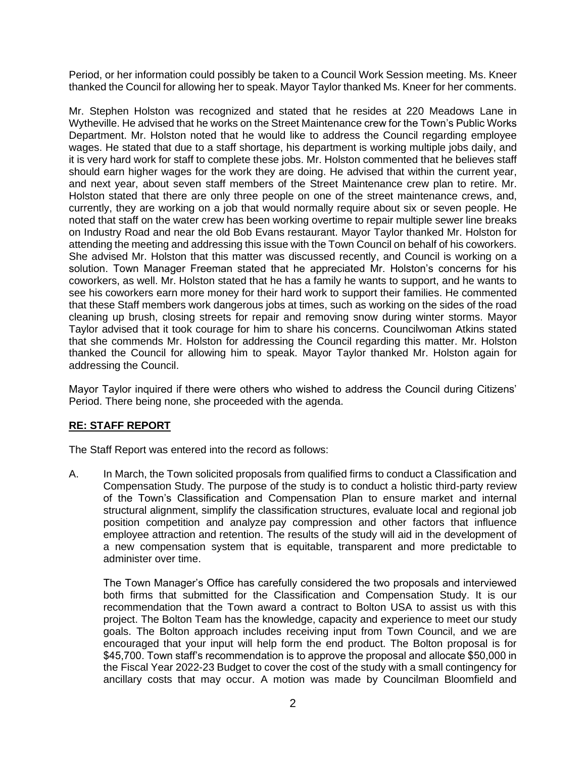Period, or her information could possibly be taken to a Council Work Session meeting. Ms. Kneer thanked the Council for allowing her to speak. Mayor Taylor thanked Ms. Kneer for her comments.

Mr. Stephen Holston was recognized and stated that he resides at 220 Meadows Lane in Wytheville. He advised that he works on the Street Maintenance crew for the Town's Public Works Department. Mr. Holston noted that he would like to address the Council regarding employee wages. He stated that due to a staff shortage, his department is working multiple jobs daily, and it is very hard work for staff to complete these jobs. Mr. Holston commented that he believes staff should earn higher wages for the work they are doing. He advised that within the current year, and next year, about seven staff members of the Street Maintenance crew plan to retire. Mr. Holston stated that there are only three people on one of the street maintenance crews, and, currently, they are working on a job that would normally require about six or seven people. He noted that staff on the water crew has been working overtime to repair multiple sewer line breaks on Industry Road and near the old Bob Evans restaurant. Mayor Taylor thanked Mr. Holston for attending the meeting and addressing this issue with the Town Council on behalf of his coworkers. She advised Mr. Holston that this matter was discussed recently, and Council is working on a solution. Town Manager Freeman stated that he appreciated Mr. Holston's concerns for his coworkers, as well. Mr. Holston stated that he has a family he wants to support, and he wants to see his coworkers earn more money for their hard work to support their families. He commented that these Staff members work dangerous jobs at times, such as working on the sides of the road cleaning up brush, closing streets for repair and removing snow during winter storms. Mayor Taylor advised that it took courage for him to share his concerns. Councilwoman Atkins stated that she commends Mr. Holston for addressing the Council regarding this matter. Mr. Holston thanked the Council for allowing him to speak. Mayor Taylor thanked Mr. Holston again for addressing the Council.

Mayor Taylor inquired if there were others who wished to address the Council during Citizens' Period. There being none, she proceeded with the agenda.

# **RE: STAFF REPORT**

The Staff Report was entered into the record as follows:

A. In March, the Town solicited proposals from qualified firms to conduct a Classification and Compensation Study. The purpose of the study is to conduct a holistic third-party review of the Town's Classification and Compensation Plan to ensure market and internal structural alignment, simplify the classification structures, evaluate local and regional job position competition and analyze pay compression and other factors that influence employee attraction and retention. The results of the study will aid in the development of a new compensation system that is equitable, transparent and more predictable to administer over time.

The Town Manager's Office has carefully considered the two proposals and interviewed both firms that submitted for the Classification and Compensation Study. It is our recommendation that the Town award a contract to Bolton USA to assist us with this project. The Bolton Team has the knowledge, capacity and experience to meet our study goals. The Bolton approach includes receiving input from Town Council, and we are encouraged that your input will help form the end product. The Bolton proposal is for \$45,700. Town staff's recommendation is to approve the proposal and allocate \$50,000 in the Fiscal Year 2022-23 Budget to cover the cost of the study with a small contingency for ancillary costs that may occur. A motion was made by Councilman Bloomfield and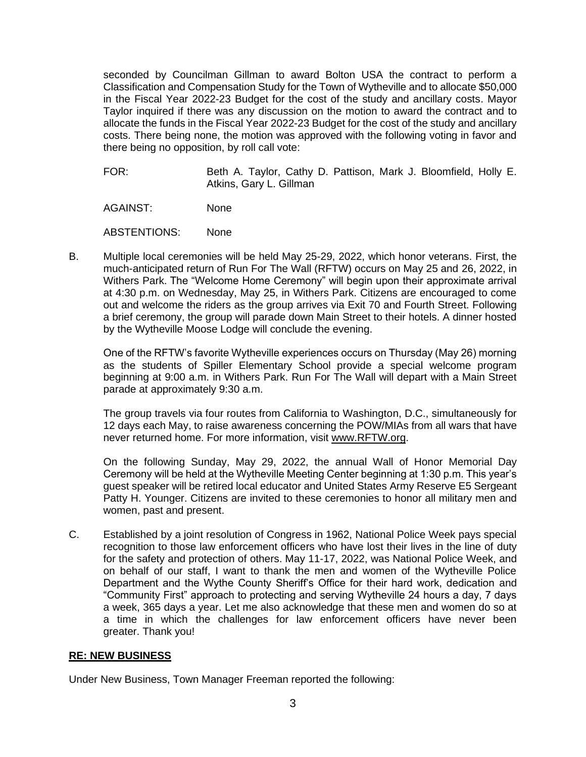seconded by Councilman Gillman to award Bolton USA the contract to perform a Classification and Compensation Study for the Town of Wytheville and to allocate \$50,000 in the Fiscal Year 2022-23 Budget for the cost of the study and ancillary costs. Mayor Taylor inquired if there was any discussion on the motion to award the contract and to allocate the funds in the Fiscal Year 2022-23 Budget for the cost of the study and ancillary costs. There being none, the motion was approved with the following voting in favor and there being no opposition, by roll call vote:

FOR: Beth A. Taylor, Cathy D. Pattison, Mark J. Bloomfield, Holly E. Atkins, Gary L. Gillman

AGAINST: None

ABSTENTIONS: None

B. Multiple local ceremonies will be held May 25-29, 2022, which honor veterans. First, the much-anticipated return of Run For The Wall (RFTW) occurs on May 25 and 26, 2022, in Withers Park. The "Welcome Home Ceremony" will begin upon their approximate arrival at 4:30 p.m. on Wednesday, May 25, in Withers Park. Citizens are encouraged to come out and welcome the riders as the group arrives via Exit 70 and Fourth Street. Following a brief ceremony, the group will parade down Main Street to their hotels. A dinner hosted by the Wytheville Moose Lodge will conclude the evening.

One of the RFTW's favorite Wytheville experiences occurs on Thursday (May 26) morning as the students of Spiller Elementary School provide a special welcome program beginning at 9:00 a.m. in Withers Park. Run For The Wall will depart with a Main Street parade at approximately 9:30 a.m.

The group travels via four routes from California to Washington, D.C., simultaneously for 12 days each May, to raise awareness concerning the POW/MIAs from all wars that have never returned home. For more information, visit [www.RFTW.org.](http://www.rftw.org/)

On the following Sunday, May 29, 2022, the annual Wall of Honor Memorial Day Ceremony will be held at the Wytheville Meeting Center beginning at 1:30 p.m. This year's guest speaker will be retired local educator and United States Army Reserve E5 Sergeant Patty H. Younger. Citizens are invited to these ceremonies to honor all military men and women, past and present.

C. Established by a joint resolution of Congress in 1962, National Police Week pays special recognition to those law enforcement officers who have lost their lives in the line of duty for the safety and protection of others. May 11-17, 2022, was National Police Week, and on behalf of our staff, I want to thank the men and women of the Wytheville Police Department and the Wythe County Sheriff's Office for their hard work, dedication and "Community First" approach to protecting and serving Wytheville 24 hours a day, 7 days a week, 365 days a year. Let me also acknowledge that these men and women do so at a time in which the challenges for law enforcement officers have never been greater. Thank you!

### **RE: NEW BUSINESS**

Under New Business, Town Manager Freeman reported the following: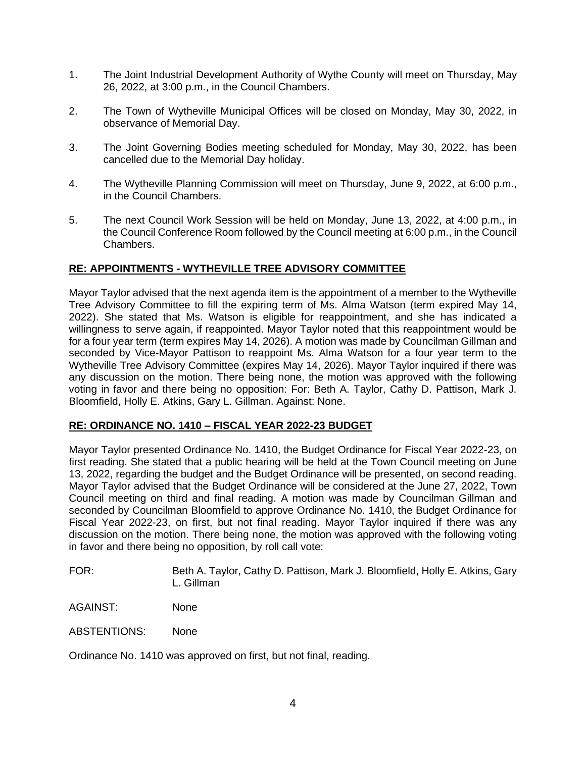- 1. The Joint Industrial Development Authority of Wythe County will meet on Thursday, May 26, 2022, at 3:00 p.m., in the Council Chambers.
- 2. The Town of Wytheville Municipal Offices will be closed on Monday, May 30, 2022, in observance of Memorial Day.
- 3. The Joint Governing Bodies meeting scheduled for Monday, May 30, 2022, has been cancelled due to the Memorial Day holiday.
- 4. The Wytheville Planning Commission will meet on Thursday, June 9, 2022, at 6:00 p.m., in the Council Chambers.
- 5. The next Council Work Session will be held on Monday, June 13, 2022, at 4:00 p.m., in the Council Conference Room followed by the Council meeting at 6:00 p.m., in the Council Chambers.

### **RE: APPOINTMENTS - WYTHEVILLE TREE ADVISORY COMMITTEE**

Mayor Taylor advised that the next agenda item is the appointment of a member to the Wytheville Tree Advisory Committee to fill the expiring term of Ms. Alma Watson (term expired May 14, 2022). She stated that Ms. Watson is eligible for reappointment, and she has indicated a willingness to serve again, if reappointed. Mayor Taylor noted that this reappointment would be for a four year term (term expires May 14, 2026). A motion was made by Councilman Gillman and seconded by Vice-Mayor Pattison to reappoint Ms. Alma Watson for a four year term to the Wytheville Tree Advisory Committee (expires May 14, 2026). Mayor Taylor inquired if there was any discussion on the motion. There being none, the motion was approved with the following voting in favor and there being no opposition: For: Beth A. Taylor, Cathy D. Pattison, Mark J. Bloomfield, Holly E. Atkins, Gary L. Gillman. Against: None.

### **RE: ORDINANCE NO. 1410 – FISCAL YEAR 2022-23 BUDGET**

Mayor Taylor presented Ordinance No. 1410, the Budget Ordinance for Fiscal Year 2022-23, on first reading. She stated that a public hearing will be held at the Town Council meeting on June 13, 2022, regarding the budget and the Budget Ordinance will be presented, on second reading. Mayor Taylor advised that the Budget Ordinance will be considered at the June 27, 2022, Town Council meeting on third and final reading. A motion was made by Councilman Gillman and seconded by Councilman Bloomfield to approve Ordinance No. 1410, the Budget Ordinance for Fiscal Year 2022-23, on first, but not final reading. Mayor Taylor inquired if there was any discussion on the motion. There being none, the motion was approved with the following voting in favor and there being no opposition, by roll call vote:

FOR: Beth A. Taylor, Cathy D. Pattison, Mark J. Bloomfield, Holly E. Atkins, Gary L. Gillman

AGAINST: None

ABSTENTIONS: None

Ordinance No. 1410 was approved on first, but not final, reading.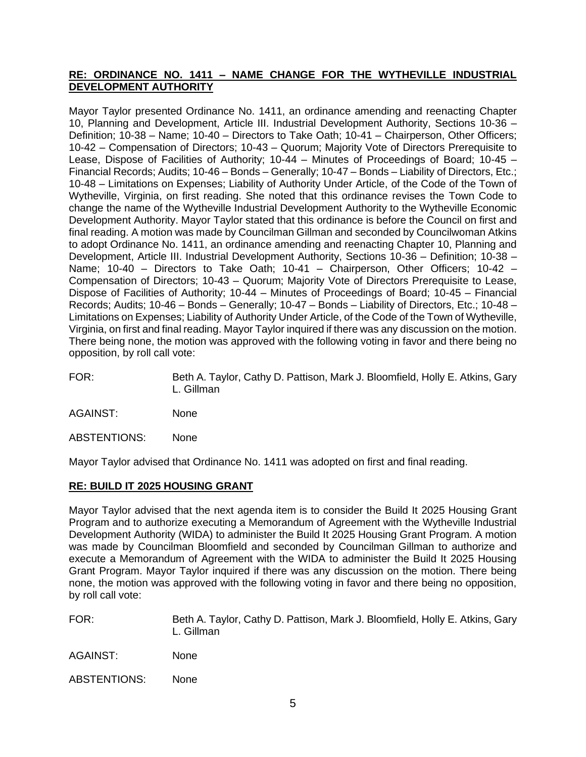### **RE: ORDINANCE NO. 1411 – NAME CHANGE FOR THE WYTHEVILLE INDUSTRIAL DEVELOPMENT AUTHORITY**

Mayor Taylor presented Ordinance No. 1411, an ordinance amending and reenacting Chapter 10, Planning and Development, Article III. Industrial Development Authority, Sections 10-36 – Definition; 10-38 – Name; 10-40 – Directors to Take Oath; 10-41 – Chairperson, Other Officers; 10-42 – Compensation of Directors; 10-43 – Quorum; Majority Vote of Directors Prerequisite to Lease, Dispose of Facilities of Authority; 10-44 – Minutes of Proceedings of Board; 10-45 – Financial Records; Audits; 10-46 – Bonds – Generally; 10-47 – Bonds – Liability of Directors, Etc.; 10-48 – Limitations on Expenses; Liability of Authority Under Article, of the Code of the Town of Wytheville, Virginia, on first reading. She noted that this ordinance revises the Town Code to change the name of the Wytheville Industrial Development Authority to the Wytheville Economic Development Authority. Mayor Taylor stated that this ordinance is before the Council on first and final reading. A motion was made by Councilman Gillman and seconded by Councilwoman Atkins to adopt Ordinance No. 1411, an ordinance amending and reenacting Chapter 10, Planning and Development, Article III. Industrial Development Authority, Sections 10-36 – Definition; 10-38 – Name; 10-40 – Directors to Take Oath; 10-41 – Chairperson, Other Officers; 10-42 – Compensation of Directors; 10-43 – Quorum; Majority Vote of Directors Prerequisite to Lease, Dispose of Facilities of Authority; 10-44 – Minutes of Proceedings of Board; 10-45 – Financial Records; Audits; 10-46 – Bonds – Generally; 10-47 – Bonds – Liability of Directors, Etc.; 10-48 – Limitations on Expenses; Liability of Authority Under Article, of the Code of the Town of Wytheville, Virginia, on first and final reading. Mayor Taylor inquired if there was any discussion on the motion. There being none, the motion was approved with the following voting in favor and there being no opposition, by roll call vote:

- FOR: Beth A. Taylor, Cathy D. Pattison, Mark J. Bloomfield, Holly E. Atkins, Gary L. Gillman
- AGAINST: None

ABSTENTIONS: None

Mayor Taylor advised that Ordinance No. 1411 was adopted on first and final reading.

### **RE: BUILD IT 2025 HOUSING GRANT**

Mayor Taylor advised that the next agenda item is to consider the Build It 2025 Housing Grant Program and to authorize executing a Memorandum of Agreement with the Wytheville Industrial Development Authority (WIDA) to administer the Build It 2025 Housing Grant Program. A motion was made by Councilman Bloomfield and seconded by Councilman Gillman to authorize and execute a Memorandum of Agreement with the WIDA to administer the Build It 2025 Housing Grant Program. Mayor Taylor inquired if there was any discussion on the motion. There being none, the motion was approved with the following voting in favor and there being no opposition, by roll call vote:

FOR: Beth A. Taylor, Cathy D. Pattison, Mark J. Bloomfield, Holly E. Atkins, Gary L. Gillman

AGAINST: None

ABSTENTIONS: None